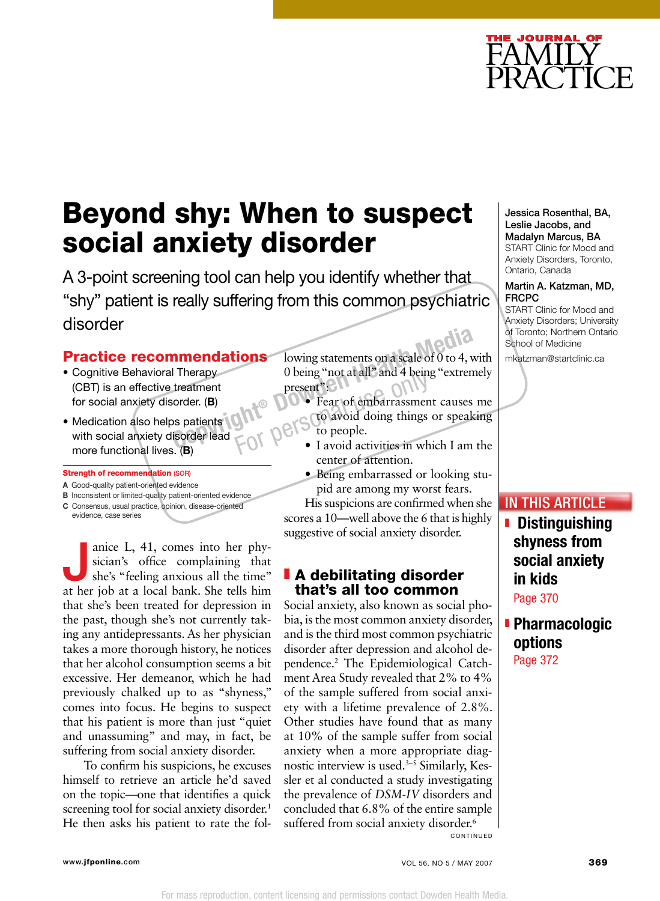

# Beyond shy: When to suspect social anxiety disorder

A 3-point screening tool can help you identify whether that "shy" patient is really suffering from this common psychiatric disorder

### Practice recommendations

- Cognitive Behavioral Therapy (CBT) is an effective treatment for social anxiety disorder. (B)
- Medication also helps patients with social anxiety disorder lead more functional lives. (B)

#### Strength of recommendation (SOR)

- A Good-quality patient-oriented evidence
- **B** Inconsistent or limited-quality patient-oriented evidence C Consensus, usual practice, opinion, disease-oriented
- evidence, case series

anice L, 41, comes into her physician's office complaining that<br>she's "feeling anxious all the time" sician's office complaining that at her job at a local bank. She tells him that she's been treated for depression in the past, though she's not currently taking any antidepressants. As her physician takes a more thorough history, he notices that her alcohol consumption seems a bit excessive. Her demeanor, which he had previously chalked up to as "shyness," comes into focus. He begins to suspect that his patient is more than just "quiet and unassuming" and may, in fact, be suffering from social anxiety disorder.

To confirm his suspicions, he excuses himself to retrieve an article he'd saved on the topic—one that identifies a quick screening tool for social anxiety disorder.<sup>1</sup> He then asks his patient to rate the fol-

lowing statements on a scale of 0 to 4, with 0 being "not at all" and 4 being "extremely present": **Collection**<br> **Copyright** B<br> **Copyright**<br> **Copyright**<br> **Copyright**<br> **Copyright**<br> **Copyright**<br> **Copyright**<br> **Copyright**<br> **Copyright**<br> **Copyright**<br> **Copyright**<br> **Copyright**<br> **Copyright**<br> **Copyright**<br> **Copyright**<br> **Copyright** 

- Fear of embarrassment causes me to avoid doing things or speaking to people. b being hot at an and 4 being extremely<br>present":<br>
Fear of embarrassment causes me<br>
FOI PC to people.<br>
I avoid activities in which I am the
	- center of attention.
	- Being embarrassed or looking stupid are among my worst fears.

His suspicions are confirmed when she scores a 10—well above the 6 that is highly suggestive of social anxiety disorder.

### **A debilitating disorder** that's all too common

Social anxiety, also known as social phobia, is the most common anxiety disorder, and is the third most common psychiatric disorder after depression and alcohol dependence.2 The Epidemiological Catchment Area Study revealed that 2% to 4% of the sample suffered from social anxiety with a lifetime prevalence of 2.8%. Other studies have found that as many at 10% of the sample suffer from social anxiety when a more appropriate diagnostic interview is used.<sup>3-5</sup> Similarly, Kessler et al conducted a study investigating the prevalence of *DSM-IV* disorders and concluded that 6.8% of the entire sample suffered from social anxiety disorder.<sup>6</sup> CONTINUED

#### Jessica Rosenthal, BA, Leslie Jacobs, and Madalyn Marcus, BA START Clinic for Mood and Anxiety Disorders, Toronto,

Ontario, Canada

#### Martin A. Katzman, MD, FRCPC

START Clinic for Mood and Anxiety Disorders; University of Toronto; Northern Ontario School of Medicine

mkatzman@startclinic.ca

## In this Article

**E** Distinguishing shyness from social anxiety in kids

Page 370

## **E** Pharmacologic options Page 372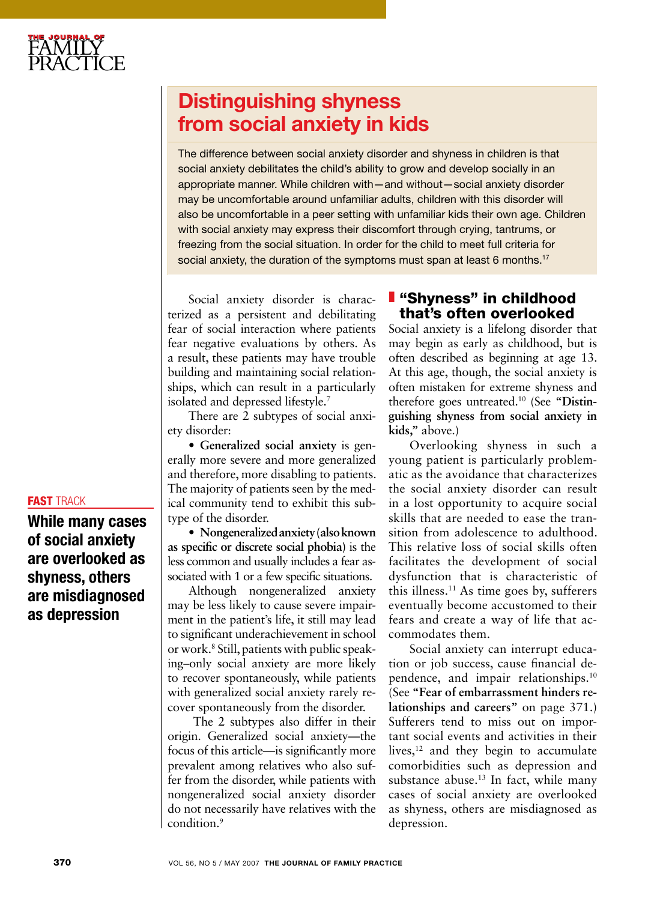## Distinguishing shyness from social anxiety in kids

The difference between social anxiety disorder and shyness in children is that social anxiety debilitates the child's ability to grow and develop socially in an appropriate manner. While children with—and without—social anxiety disorder may be uncomfortable around unfamiliar adults, children with this disorder will also be uncomfortable in a peer setting with unfamiliar kids their own age. Children with social anxiety may express their discomfort through crying, tantrums, or freezing from the social situation. In order for the child to meet full criteria for social anxiety, the duration of the symptoms must span at least 6 months.<sup>17</sup>

Social anxiety disorder is characterized as a persistent and debilitating fear of social interaction where patients fear negative evaluations by others. As a result, these patients may have trouble building and maintaining social relationships, which can result in a particularly isolated and depressed lifestyle.7

There are 2 subtypes of social anxiety disorder:

• **Generalized social anxiety** is generally more severe and more generalized and therefore, more disabling to patients. The majority of patients seen by the medical community tend to exhibit this subtype of the disorder.

• **Nongeneralized anxiety(also known as specific or discrete social phobia)** is the less common and usually includes a fear associated with 1 or a few specific situations.

Although nongeneralized anxiety may be less likely to cause severe impairment in the patient's life, it still may lead to significant underachievement in school or work.8 Still, patients with public speaking–only social anxiety are more likely to recover spontaneously, while patients with generalized social anxiety rarely recover spontaneously from the disorder.

 The 2 subtypes also differ in their origin. Generalized social anxiety—the focus of this article—is significantly more prevalent among relatives who also suffer from the disorder, while patients with nongeneralized social anxiety disorder do not necessarily have relatives with the condition.9

## **I** "Shyness" in childhood that's often overlooked

Social anxiety is a lifelong disorder that may begin as early as childhood, but is often described as beginning at age 13. At this age, though, the social anxiety is often mistaken for extreme shyness and therefore goes untreated.10 (See **"Distinguishing shyness from social anxiety in kids,"** above.)

Overlooking shyness in such a young patient is particularly problematic as the avoidance that characterizes the social anxiety disorder can result in a lost opportunity to acquire social skills that are needed to ease the transition from adolescence to adulthood. This relative loss of social skills often facilitates the development of social dysfunction that is characteristic of this illness.<sup>11</sup> As time goes by, sufferers eventually become accustomed to their fears and create a way of life that accommodates them.

Social anxiety can interrupt education or job success, cause financial dependence, and impair relationships.10 (See **"Fear of embarrassment hinders relationships and careers"** on page 371.) Sufferers tend to miss out on important social events and activities in their lives, $12$  and they begin to accumulate comorbidities such as depression and substance abuse.<sup>13</sup> In fact, while many cases of social anxiety are overlooked as shyness, others are misdiagnosed as depression.

## FAST TRACK

While many cases of social anxiety are overlooked as shyness, others are misdiagnosed as depression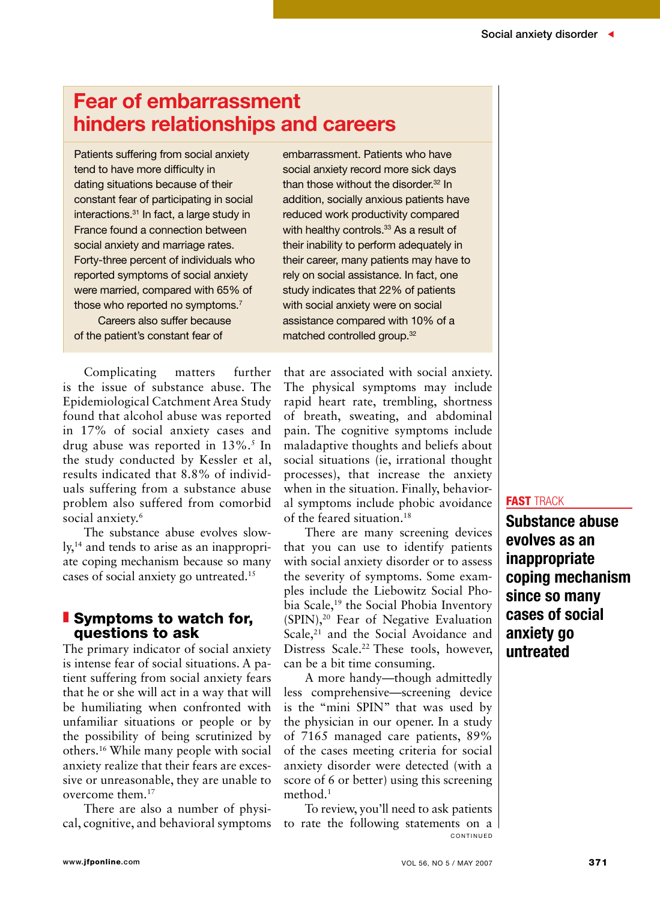## Fear of embarrassment hinders relationships and careers

Patients suffering from social anxiety tend to have more difficulty in dating situations because of their constant fear of participating in social interactions.<sup>31</sup> In fact, a large study in France found a connection between social anxiety and marriage rates. Forty-three percent of individuals who reported symptoms of social anxiety were married, compared with 65% of those who reported no symptoms.<sup>7</sup> Careers also suffer because

of the patient's constant fear of

Complicating matters further is the issue of substance abuse. The Epidemiological Catchment Area Study found that alcohol abuse was reported in 17% of social anxiety cases and drug abuse was reported in 13%.<sup>5</sup> In the study conducted by Kessler et al, results indicated that 8.8% of individuals suffering from a substance abuse problem also suffered from comorbid social anxiety.<sup>6</sup>

The substance abuse evolves slowly,<sup>14</sup> and tends to arise as an inappropriate coping mechanism because so many cases of social anxiety go untreated.15

## **Symptoms to watch for,** questions to ask

The primary indicator of social anxiety is intense fear of social situations. A patient suffering from social anxiety fears that he or she will act in a way that will be humiliating when confronted with unfamiliar situations or people or by the possibility of being scrutinized by others.16 While many people with social anxiety realize that their fears are excessive or unreasonable, they are unable to overcome them.17

There are also a number of physical, cognitive, and behavioral symptoms

embarrassment. Patients who have social anxiety record more sick days than those without the disorder.<sup>32</sup> In addition, socially anxious patients have reduced work productivity compared with healthy controls.<sup>33</sup> As a result of their inability to perform adequately in their career, many patients may have to rely on social assistance. In fact, one study indicates that 22% of patients with social anxiety were on social assistance compared with 10% of a matched controlled group.32

that are associated with social anxiety. The physical symptoms may include rapid heart rate, trembling, shortness of breath, sweating, and abdominal pain. The cognitive symptoms include maladaptive thoughts and beliefs about social situations (ie, irrational thought processes), that increase the anxiety when in the situation. Finally, behavioral symptoms include phobic avoidance of the feared situation.18

There are many screening devices that you can use to identify patients with social anxiety disorder or to assess the severity of symptoms. Some examples include the Liebowitz Social Phobia Scale,<sup>19</sup> the Social Phobia Inventory (SPIN),20 Fear of Negative Evaluation Scale,<sup>21</sup> and the Social Avoidance and Distress Scale.<sup>22</sup> These tools, however, can be a bit time consuming.

A more handy—though admittedly less comprehensive—screening device is the "mini SPIN" that was used by the physician in our opener. In a study of 7165 managed care patients, 89% of the cases meeting criteria for social anxiety disorder were detected (with a score of 6 or better) using this screening method.1

To review, you'll need to ask patients to rate the following statements on a C O N T I N U E D

#### fast track

Substance abuse evolves as an inappropriate coping mechanism since so many cases of social anxiety go untreated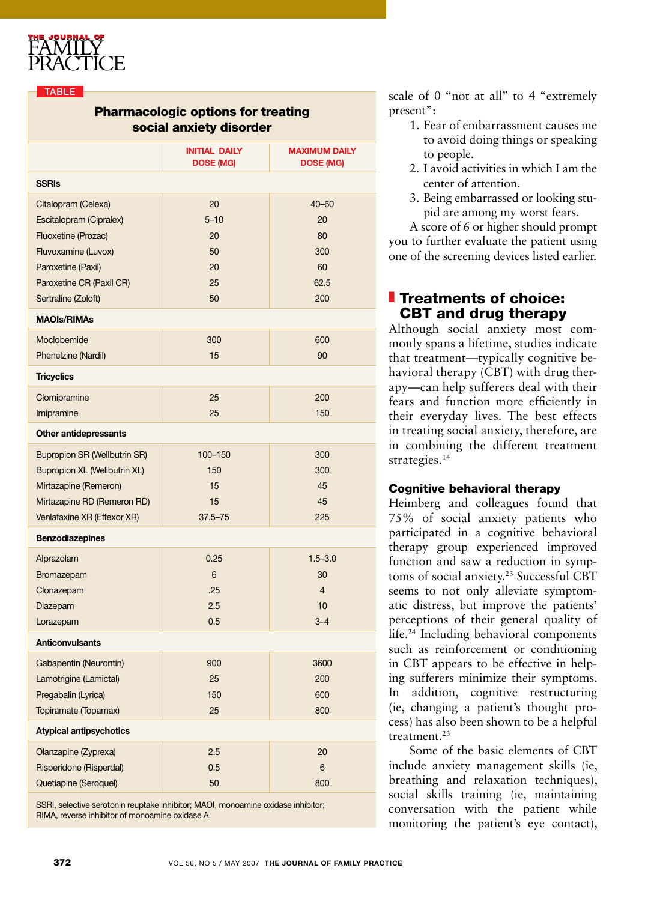

#### **TABLE**

### Pharmacologic options for treating social anxiety disorder

|                                     | <b>INITIAL DAILY</b><br><b>DOSE (MG)</b> | <b>MAXIMUM DAILY</b><br><b>DOSE (MG)</b> |
|-------------------------------------|------------------------------------------|------------------------------------------|
| <b>SSRIs</b>                        |                                          |                                          |
| Citalopram (Celexa)                 | 20                                       | $40 - 60$                                |
| Escitalopram (Cipralex)             | $5 - 10$                                 | 20                                       |
| Fluoxetine (Prozac)                 | 20                                       | 80                                       |
| Fluvoxamine (Luvox)                 | 50                                       | 300                                      |
| Paroxetine (Paxil)                  | 20                                       | 60                                       |
| Paroxetine CR (Paxil CR)            | 25                                       | 62.5                                     |
| Sertraline (Zoloft)                 | 50                                       | 200                                      |
| <b>MAOIs/RIMAs</b>                  |                                          |                                          |
| Moclobemide                         | 300                                      | 600                                      |
| Phenelzine (Nardil)                 | 15                                       | 90                                       |
| <b>Tricyclics</b>                   |                                          |                                          |
| Clomipramine                        | 25                                       | 200                                      |
| Imipramine                          | 25                                       | 150                                      |
| <b>Other antidepressants</b>        |                                          |                                          |
| <b>Bupropion SR (Wellbutrin SR)</b> | 100-150                                  | 300                                      |
| Bupropion XL (Wellbutrin XL)        | 150                                      | 300                                      |
| Mirtazapine (Remeron)               | 15                                       | 45                                       |
| Mirtazapine RD (Remeron RD)         | 15                                       | 45                                       |
| Venlafaxine XR (Effexor XR)         | $37.5 - 75$                              | 225                                      |
| <b>Benzodiazepines</b>              |                                          |                                          |
| Alprazolam                          | 0.25                                     | $1.5 - 3.0$                              |
| Bromazepam                          | $6\phantom{1}$                           | 30                                       |
| Clonazepam                          | .25                                      | $\overline{4}$                           |
| Diazepam                            | 2.5                                      | 10                                       |
| Lorazepam                           | 0.5                                      | $3 - 4$                                  |
| <b>Anticonvulsants</b>              |                                          |                                          |
| Gabapentin (Neurontin)              | 900                                      | 3600                                     |
| Lamotrigine (Lamictal)              | 25                                       | 200                                      |
| Pregabalin (Lyrica)                 | 150                                      | 600                                      |
| Topiramate (Topamax)                | 25                                       | 800                                      |
| <b>Atypical antipsychotics</b>      |                                          |                                          |
| Olanzapine (Zyprexa)                | 2.5                                      | 20                                       |
| Risperidone (Risperdal)             | 0.5                                      | 6                                        |
| Quetiapine (Seroquel)               | 50                                       | 800                                      |
|                                     |                                          |                                          |

SSRI, selective serotonin reuptake inhibitor; MAOI, monoamine oxidase inhibitor; RIMA, reverse inhibitor of monoamine oxidase A.

scale of 0 "not at all" to 4 "extremely present":

- 1. Fear of embarrassment causes me to avoid doing things or speaking to people.
- 2. I avoid activities in which I am the center of attention.
- 3. Being embarrassed or looking stupid are among my worst fears.

A score of 6 or higher should prompt you to further evaluate the patient using one of the screening devices listed earlier.

## **Treatments of choice:** CBT and drug therapy

Although social anxiety most commonly spans a lifetime, studies indicate that treatment—typically cognitive behavioral therapy (CBT) with drug therapy—can help sufferers deal with their fears and function more efficiently in their everyday lives. The best effects in treating social anxiety, therefore, are in combining the different treatment strategies.<sup>14</sup>

#### Cognitive behavioral therapy

Heimberg and colleagues found that 75% of social anxiety patients who participated in a cognitive behavioral therapy group experienced improved function and saw a reduction in symptoms of social anxiety.<sup>23</sup> Successful CBT seems to not only alleviate symptomatic distress, but improve the patients' perceptions of their general quality of life.24 Including behavioral components such as reinforcement or conditioning in CBT appears to be effective in helping sufferers minimize their symptoms. In addition, cognitive restructuring (ie, changing a patient's thought process) has also been shown to be a helpful treatment.23

Some of the basic elements of CBT include anxiety management skills (ie, breathing and relaxation techniques), social skills training (ie, maintaining conversation with the patient while monitoring the patient's eye contact),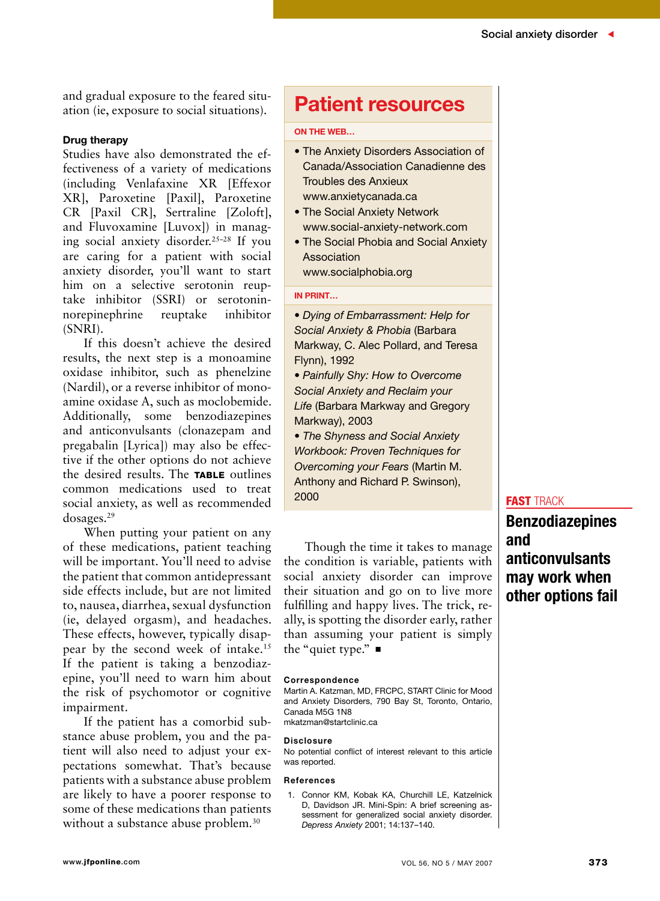and gradual exposure to the feared situation (ie, exposure to social situations).

#### Drug therapy

Studies have also demonstrated the effectiveness of a variety of medications (including Venlafaxine XR [Effexor XR], Paroxetine [Paxil], Paroxetine CR [Paxil CR], Sertraline [Zoloft], and Fluvoxamine [Luvox]) in managing social anxiety disorder.25–28 If you are caring for a patient with social anxiety disorder, you'll want to start him on a selective serotonin reuptake inhibitor (SSRI) or serotoninnorepinephrine reuptake inhibitor (SNRI).

If this doesn't achieve the desired results, the next step is a monoamine oxidase inhibitor, such as phenelzine (Nardil), or a reverse inhibitor of monoamine oxidase A, such as moclobemide. Additionally, some benzodiazepines and anticonvulsants (clonazepam and pregabalin [Lyrica]) may also be effective if the other options do not achieve the desired results. The **TABLE** outlines common medications used to treat social anxiety, as well as recommended dosages.29

When putting your patient on any of these medications, patient teaching will be important. You'll need to advise the patient that common antidepressant side effects include, but are not limited to, nausea, diarrhea, sexual dysfunction (ie, delayed orgasm), and headaches. These effects, however, typically disappear by the second week of intake.15 If the patient is taking a benzodiazepine, you'll need to warn him about the risk of psychomotor or cognitive impairment.

If the patient has a comorbid substance abuse problem, you and the patient will also need to adjust your expectations somewhat. That's because patients with a substance abuse problem are likely to have a poorer response to some of these medications than patients without a substance abuse problem.<sup>30</sup>

## Patient resources

#### On the Web…

- The Anxiety Disorders Association of Canada/Association Canadienne des Troubles des Anxieux www.anxietycanada.ca
- The Social Anxiety Network www.social-anxiety-network.com
- The Social Phobia and Social Anxiety Association

www.socialphobia.org

#### In print…

• *Dying of Embarrassment: Help for Social Anxiety & Phobia* (Barbara Markway, C. Alec Pollard, and Teresa Flynn), 1992

• *Painfully Shy: How to Overcome Social Anxiety and Reclaim your Life* (Barbara Markway and Gregory Markway), 2003

• *The Shyness and Social Anxiety Workbook: Proven Techniques for Overcoming your Fears* (Martin M. Anthony and Richard P. Swinson), 2000

Though the time it takes to manage the condition is variable, patients with social anxiety disorder can improve their situation and go on to live more fulfilling and happy lives. The trick, really, is spotting the disorder early, rather than assuming your patient is simply the "quiet type."  $\blacksquare$ 

#### Correspondence

Martin A. Katzman, MD, FRCPC, START Clinic for Mood and Anxiety Disorders, 790 Bay St, Toronto, Ontario, Canada M5G 1N8 mkatzman@startclinic.ca

#### Disclosure

No potential conflict of interest relevant to this article was reported.

#### References

1. Connor KM, Kobak KA, Churchill LE, Katzelnick D, Davidson JR. Mini-Spin: A brief screening assessment for generalized social anxiety disorder. *Depress Anxiety* 2001; 14:137–140.

#### **FAST TRACK**

Benzodiazepines and anticonvulsants may work when other options fail